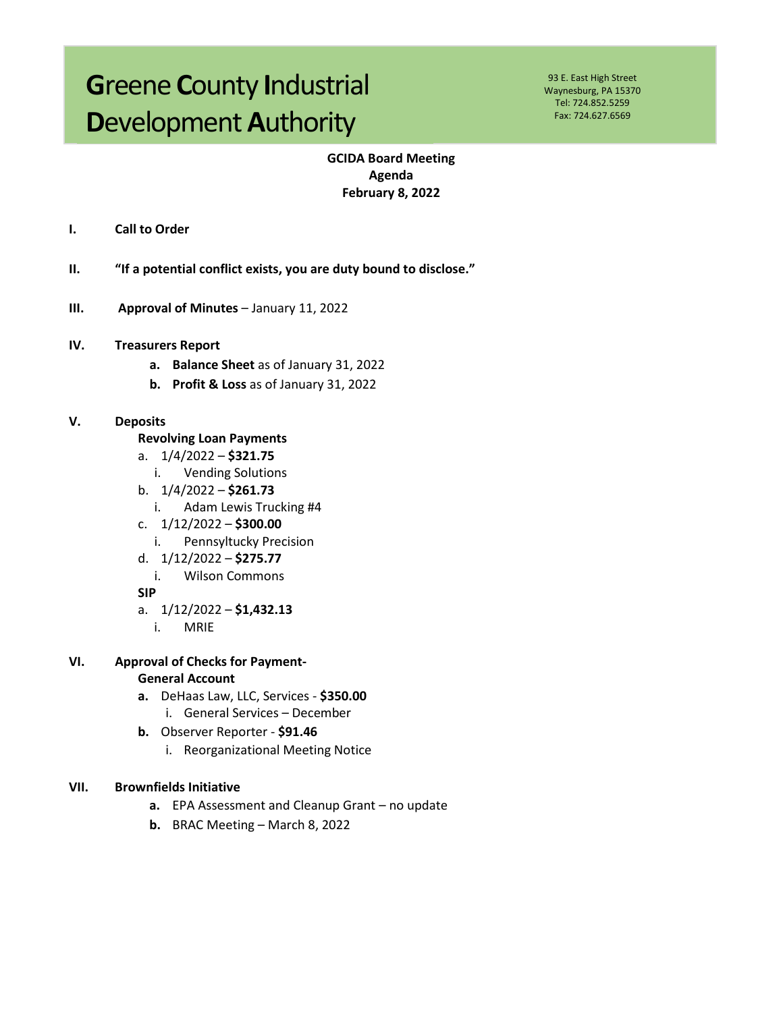# **Greene County Industrial Development Authority**

93 E. East High Street Waynesburg, PA 15370 Tel: 724.852.5259 Fax: 724.627.6569

## **GCIDA Board Meeting** Agenda **February 8, 2022**

- I. **Call to Order**
- $II.$ "If a potential conflict exists, you are duty bound to disclose."
- $III.$ Approval of Minutes - January 11, 2022
- IV. **Treasurers Report** 
	- a. Balance Sheet as of January 31, 2022
	- b. Profit & Loss as of January 31, 2022

#### V. **Deposits**

- **Revolving Loan Payments**
- a.  $1/4/2022 $321.75$ 
	- **Vending Solutions**  $\mathbf{i}$ .
- b.  $1/4/2022 $261.73$ 
	- $i$ . Adam Lewis Trucking #4
- c.  $1/12/2022 $300.00$ 
	- Pennsyltucky Precision  $i$ .
- d.  $1/12/2022 $275.77$ 
	- **Wilson Commons**  $i$ .

**SIP** 

- a.  $1/12/2022 $1,432.13$ 
	- $i$ . **MRIE**
- VI. **Approval of Checks for Payment-General Account** 
	- a. DeHaas Law, LLC, Services \$350.00 i. General Services - December
	- b. Observer Reporter \$91.46
		- i. Reorganizational Meeting Notice

#### VII. **Brownfields Initiative**

- a. EPA Assessment and Cleanup Grant no update
- **b.** BRAC Meeting  $-$  March 8, 2022